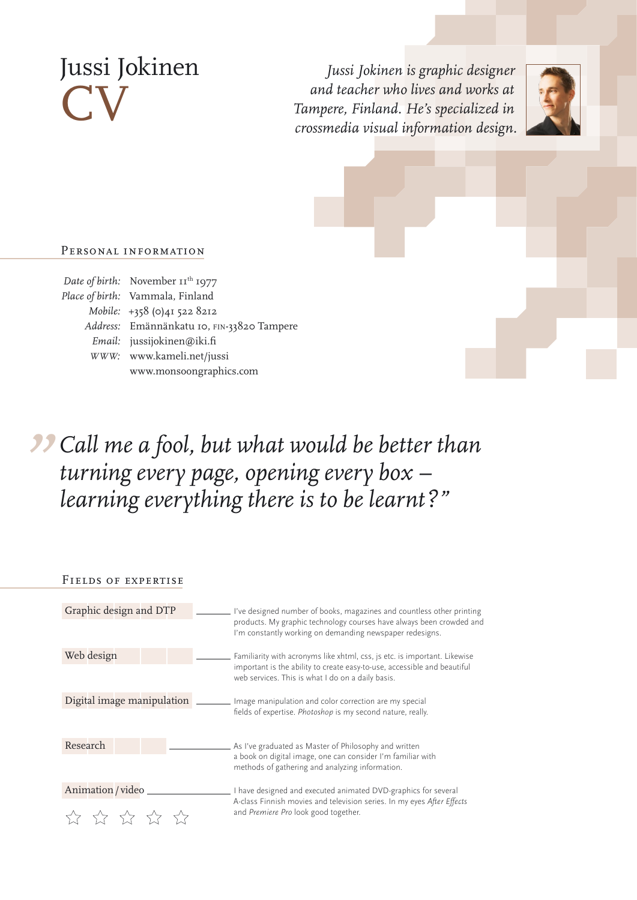# Jussi Jokinen **CV**

*Jussi Jokinen is graphic designer and teacher who lives and works at Tampere, Finland. He's specialized in crossmedia visual information design.*



### Personal information

| Date of birth: November $II^{\text{th}}$ 1977 |
|-----------------------------------------------|
| Place of birth: Vammala, Finland              |
| Mobile: +358 (0)41 522 8212                   |
| Address: Emännänkatu 10, FIN-33820 Tampere    |
| Email: jussijokinen@iki.fi                    |
| WWW: www.kameli.net/jussi                     |
| www.monsoongraphics.com                       |
|                                               |

# *" Call me a fool, but what would be better than turning every page, opening every box – learning everything there is to be learnt?"*

| FIELDS OF EXPERTISE              |                                                                                                                                                                                                            |
|----------------------------------|------------------------------------------------------------------------------------------------------------------------------------------------------------------------------------------------------------|
| Graphic design and DTP           | I've designed number of books, magazines and countless other printing<br>products. My graphic technology courses have always been crowded and<br>I'm constantly working on demanding newspaper redesigns.  |
| Web design                       | Familiarity with acronyms like xhtml, css, js etc. is important. Likewise<br>important is the ability to create easy-to-use, accessible and beautiful<br>web services. This is what I do on a daily basis. |
| Digital image manipulation       | Image manipulation and color correction are my special<br>fields of expertise. Photoshop is my second nature, really.                                                                                      |
| Research                         | As I've graduated as Master of Philosophy and written<br>a book on digital image, one can consider I'm familiar with<br>methods of gathering and analyzing information.                                    |
| Animation / video<br>5.7 5.7 5.1 | I have designed and executed animated DVD-graphics for several<br>A-class Finnish movies and television series. In my eyes After Effects<br>and Premiere Pro look good together.                           |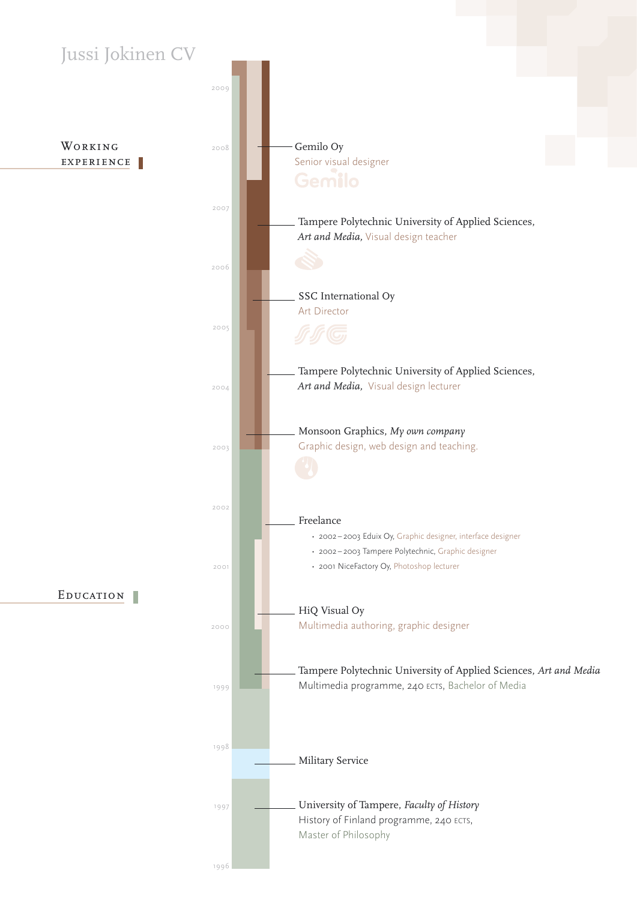